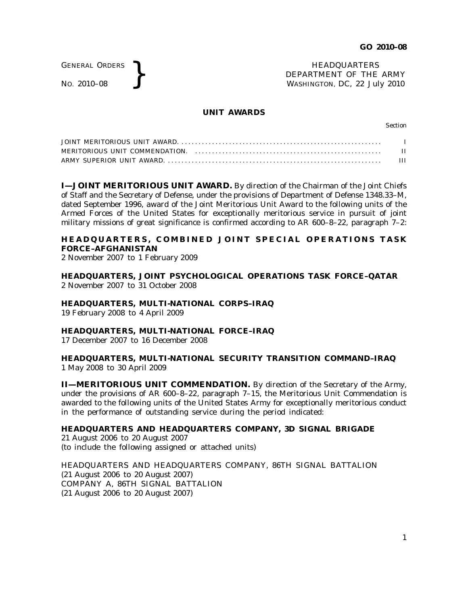GENERAL ORDERS

GENERAL ORDERS **}**<br>No. 2010–08 **}**<br>No. 2010–08 **}**<br>HEADQUARTERS DEPARTMENT OF THE WASHINGTON, DC, 22 Ju DEPARTMENT OF THE ARMY WASHINGTON, DC, *22 July 2010*

### **UNIT AWARDS**

Section

| H |
|---|
| Ш |

**I—JOINT MERITORIOUS UNIT AWARD.** By direction of the Chairman of the Joint Chiefs of Staff and the Secretary of Defense, under the provisions of Department of Defense 1348.33–M, dated September 1996, award of the Joint Meritorious Unit Award to the following units of the Armed Forces of the United States for exceptionally meritorious service in pursuit of joint military missions of great significance is confirmed according to AR 600–8–22, paragraph 7–2:

# **HEADQUARTERS, COMBINED JOINT SPECIAL OPERATIONS TASK FORCE–AFGHANISTAN**

2 November 2007 to 1 February 2009

**HEADQUARTERS, JOINT PSYCHOLOGICAL OPERATIONS TASK FORCE–QATAR** 2 November 2007 to 31 October 2008

**HEADQUARTERS, MULTI-NATIONAL CORPS–IRAQ**

19 February 2008 to 4 April 2009

### **HEADQUARTERS, MULTI-NATIONAL FORCE–IRAQ**

17 December 2007 to 16 December 2008

## **HEADQUARTERS, MULTI-NATIONAL SECURITY TRANSITION COMMAND–IRAQ** 1 May 2008 to 30 April 2009

**II—MERITORIOUS UNIT COMMENDATION.** By direction of the Secretary of the Army, under the provisions of AR 600–8–22, paragraph 7–15, the Meritorious Unit Commendation is awarded to the following units of the United States Army for exceptionally meritorious conduct in the performance of outstanding service during the period indicated:

# **HEADQUARTERS AND HEADQUARTERS COMPANY, 3D SIGNAL BRIGADE**

21 August 2006 to 20 August 2007 (to include the following assigned or attached units)

HEADQUARTERS AND HEADQUARTERS COMPANY, 86TH SIGNAL BATTALION (21 August 2006 to 20 August 2007) COMPANY A, 86TH SIGNAL BATTALION (21 August 2006 to 20 August 2007)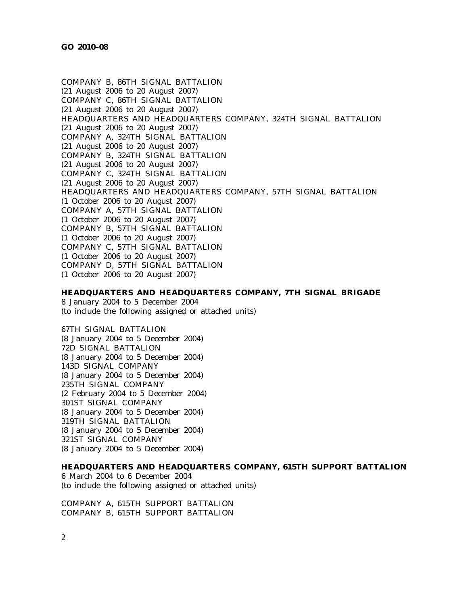COMPANY B, 86TH SIGNAL BATTALION (21 August 2006 to 20 August 2007) COMPANY C, 86TH SIGNAL BATTALION (21 August 2006 to 20 August 2007) HEADQUARTERS AND HEADQUARTERS COMPANY, 324TH SIGNAL BATTALION (21 August 2006 to 20 August 2007) COMPANY A, 324TH SIGNAL BATTALION (21 August 2006 to 20 August 2007) COMPANY B, 324TH SIGNAL BATTALION (21 August 2006 to 20 August 2007) COMPANY C, 324TH SIGNAL BATTALION (21 August 2006 to 20 August 2007) HEADQUARTERS AND HEADQUARTERS COMPANY, 57TH SIGNAL BATTALION (1 October 2006 to 20 August 2007) COMPANY A, 57TH SIGNAL BATTALION (1 October 2006 to 20 August 2007) COMPANY B, 57TH SIGNAL BATTALION (1 October 2006 to 20 August 2007) COMPANY C, 57TH SIGNAL BATTALION (1 October 2006 to 20 August 2007) COMPANY D, 57TH SIGNAL BATTALION (1 October 2006 to 20 August 2007)

## **HEADQUARTERS AND HEADQUARTERS COMPANY, 7TH SIGNAL BRIGADE**

8 January 2004 to 5 December 2004 (to include the following assigned or attached units)

67TH SIGNAL BATTALION (8 January 2004 to 5 December 2004) 72D SIGNAL BATTALION (8 January 2004 to 5 December 2004) 143D SIGNAL COMPANY (8 January 2004 to 5 December 2004) 235TH SIGNAL COMPANY (2 February 2004 to 5 December 2004) 301ST SIGNAL COMPANY (8 January 2004 to 5 December 2004) 319TH SIGNAL BATTALION (8 January 2004 to 5 December 2004) 321ST SIGNAL COMPANY (8 January 2004 to 5 December 2004)

### **HEADQUARTERS AND HEADQUARTERS COMPANY, 615TH SUPPORT BATTALION**

6 March 2004 to 6 December 2004 (to include the following assigned or attached units)

COMPANY A, 615TH SUPPORT BATTALION COMPANY B, 615TH SUPPORT BATTALION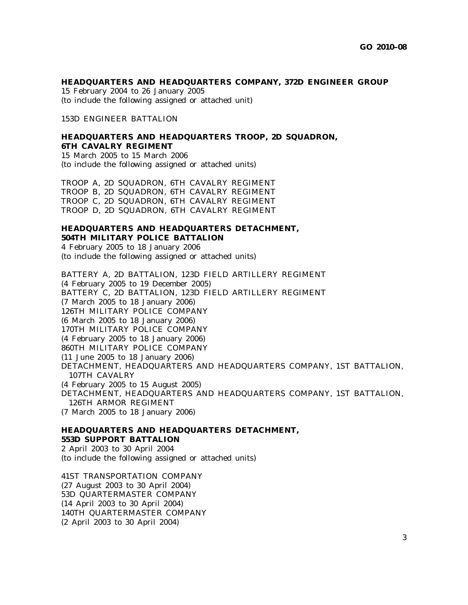#### **HEADQUARTERS AND HEADQUARTERS COMPANY, 372D ENGINEER GROUP**

15 February 2004 to 26 January 2005 (to include the following assigned or attached unit)

153D ENGINEER BATTALION

# **HEADQUARTERS AND HEADQUARTERS TROOP, 2D SQUADRON, 6TH CAVALRY REGIMENT**

15 March 2005 to 15 March 2006 (to include the following assigned or attached units)

TROOP A, 2D SQUADRON, 6TH CAVALRY REGIMENT TROOP B, 2D SQUADRON, 6TH CAVALRY REGIMENT TROOP C, 2D SQUADRON, 6TH CAVALRY REGIMENT TROOP D, 2D SQUADRON, 6TH CAVALRY REGIMENT

# **HEADQUARTERS AND HEADQUARTERS DETACHMENT, 504TH MILITARY POLICE BATTALION**

4 February 2005 to 18 January 2006 (to include the following assigned or attached units)

BATTERY A, 2D BATTALION, 123D FIELD ARTILLERY REGIMENT (4 February 2005 to 19 December 2005) BATTERY C, 2D BATTALION, 123D FIELD ARTILLERY REGIMENT (7 March 2005 to 18 January 2006) 126TH MILITARY POLICE COMPANY (6 March 2005 to 18 January 2006) 170TH MILITARY POLICE COMPANY (4 February 2005 to 18 January 2006) 860TH MILITARY POLICE COMPANY (11 June 2005 to 18 January 2006) DETACHMENT, HEADQUARTERS AND HEADQUARTERS COMPANY, 1ST BATTALION, 107TH CAVALRY (4 February 2005 to 15 August 2005) DETACHMENT, HEADQUARTERS AND HEADQUARTERS COMPANY, 1ST BATTALION, 126TH ARMOR REGIMENT (7 March 2005 to 18 January 2006)

# **HEADQUARTERS AND HEADQUARTERS DETACHMENT, 553D SUPPORT BATTALION** 2 April 2003 to 30 April 2004

(to include the following assigned or attached units)

41ST TRANSPORTATION COMPANY (27 August 2003 to 30 April 2004) 53D QUARTERMASTER COMPANY (14 April 2003 to 30 April 2004) 140TH QUARTERMASTER COMPANY (2 April 2003 to 30 April 2004)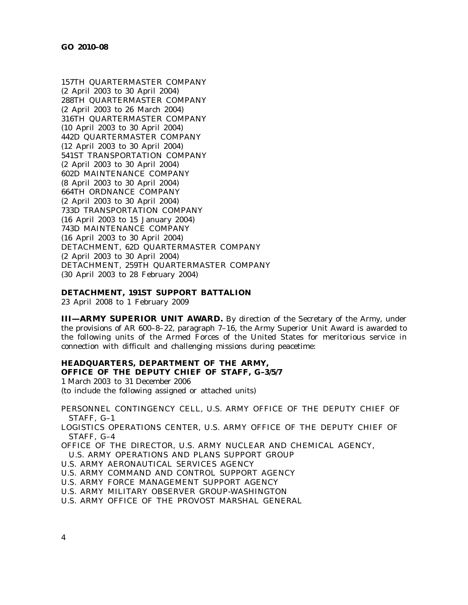157TH QUARTERMASTER COMPANY (2 April 2003 to 30 April 2004) 288TH QUARTERMASTER COMPANY (2 April 2003 to 26 March 2004) 316TH QUARTERMASTER COMPANY (10 April 2003 to 30 April 2004) 442D QUARTERMASTER COMPANY (12 April 2003 to 30 April 2004) 541ST TRANSPORTATION COMPANY (2 April 2003 to 30 April 2004) 602D MAINTENANCE COMPANY (8 April 2003 to 30 April 2004) 664TH ORDNANCE COMPANY (2 April 2003 to 30 April 2004) 733D TRANSPORTATION COMPANY (16 April 2003 to 15 January 2004) 743D MAINTENANCE COMPANY (16 April 2003 to 30 April 2004) DETACHMENT, 62D QUARTERMASTER COMPANY (2 April 2003 to 30 April 2004) DETACHMENT, 259TH QUARTERMASTER COMPANY (30 April 2003 to 28 February 2004)

### **DETACHMENT, 191ST SUPPORT BATTALION**

23 April 2008 to 1 February 2009

**III—ARMY SUPERIOR UNIT AWARD.** By direction of the Secretary of the Army, under the provisions of AR 600–8–22, paragraph 7–16, the Army Superior Unit Award is awarded to the following units of the Armed Forces of the United States for meritorious service in connection with difficult and challenging missions during peacetime:

# **HEADQUARTERS, DEPARTMENT OF THE ARMY, OFFICE OF THE DEPUTY CHIEF OF STAFF, G–3/5/7**

1 March 2003 to 31 December 2006 (to include the following assigned or attached units)

PERSONNEL CONTINGENCY CELL, U.S. ARMY OFFICE OF THE DEPUTY CHIEF OF STAFF, G–1

LOGISTICS OPERATIONS CENTER, U.S. ARMY OFFICE OF THE DEPUTY CHIEF OF STAFF, G–4

OFFICE OF THE DIRECTOR, U.S. ARMY NUCLEAR AND CHEMICAL AGENCY,

U.S. ARMY OPERATIONS AND PLANS SUPPORT GROUP

- U.S. ARMY AERONAUTICAL SERVICES AGENCY
- U.S. ARMY COMMAND AND CONTROL SUPPORT AGENCY
- U.S. ARMY FORCE MANAGEMENT SUPPORT AGENCY
- U.S. ARMY MILITARY OBSERVER GROUP-WASHINGTON
- U.S. ARMY OFFICE OF THE PROVOST MARSHAL GENERAL